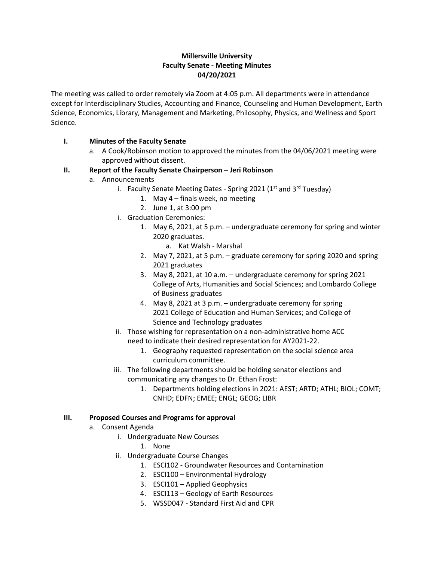## **Millersville University Faculty Senate - Meeting Minutes 04/20/2021**

The meeting was called to order remotely via Zoom at 4:05 p.m. All departments were in attendance except for Interdisciplinary Studies, Accounting and Finance, Counseling and Human Development, Earth Science, Economics, Library, Management and Marketing, Philosophy, Physics, and Wellness and Sport Science.

## **I. Minutes of the Faculty Senate**

a. A Cook/Robinson motion to approved the minutes from the 04/06/2021 meeting were approved without dissent.

# **II. Report of the Faculty Senate Chairperson – Jeri Robinson**

- a. Announcements
	- i. Faculty Senate Meeting Dates Spring 2021 ( $1<sup>st</sup>$  and  $3<sup>rd</sup>$  Tuesday)
		- 1. May 4 finals week, no meeting
		- 2. June 1, at 3:00 pm
	- i. Graduation Ceremonies:
		- 1. May 6, 2021, at 5 p.m. undergraduate ceremony for spring and winter 2020 graduates.
			- a. Kat Walsh Marshal
		- 2. May 7, 2021, at 5 p.m. graduate ceremony for spring 2020 and spring 2021 graduates
		- 3. May 8, 2021, at 10 a.m. undergraduate ceremony for spring 2021 College of Arts, Humanities and Social Sciences; and Lombardo College of Business graduates
		- 4. May 8, 2021 at 3 p.m. undergraduate ceremony for spring 2021 College of Education and Human Services; and College of Science and Technology graduates
	- ii. Those wishing for representation on a non-administrative home ACC need to indicate their desired representation for AY2021-22.
		- 1. Geography requested representation on the social science area curriculum committee.
	- iii. The following departments should be holding senator elections and communicating any changes to Dr. Ethan Frost:
		- 1. Departments holding elections in 2021: AEST; ARTD; ATHL; BIOL; COMT; CNHD; EDFN; EMEE; ENGL; GEOG; LIBR

## **III. Proposed Courses and Programs for approval**

- a. Consent Agenda
	- i. Undergraduate New Courses
		- 1. None
	- ii. Undergraduate Course Changes
		- 1. ESCI102 Groundwater Resources and Contamination
		- 2. ESCI100 Environmental Hydrology
		- 3. ESCI101 Applied Geophysics
		- 4. ESCI113 Geology of Earth Resources
		- 5. WSSD047 Standard First Aid and CPR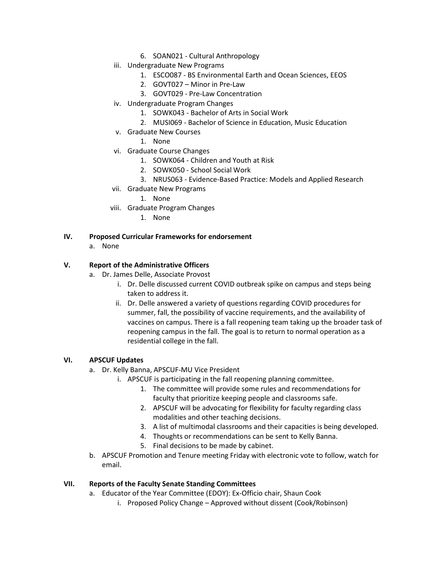- 6. SOAN021 Cultural Anthropology
- iii. Undergraduate New Programs
	- 1. ESCO087 BS Environmental Earth and Ocean Sciences, EEOS
	- 2. GOVT027 Minor in Pre-Law
	- 3. GOVT029 Pre-Law Concentration
- iv. Undergraduate Program Changes
	- 1. SOWK043 Bachelor of Arts in Social Work
	- 2. MUSI069 Bachelor of Science in Education, Music Education
- v. Graduate New Courses
	- 1. None
- vi. Graduate Course Changes
	- 1. SOWK064 Children and Youth at Risk
	- 2. SOWK050 School Social Work
	- 3. NRUS063 Evidence-Based Practice: Models and Applied Research
- vii. Graduate New Programs
	- 1. None
- viii. Graduate Program Changes
	- 1. None

### **IV. Proposed Curricular Frameworks for endorsement**

a. None

## **V. Report of the Administrative Officers**

- a. Dr. James Delle, Associate Provost
	- i. Dr. Delle discussed current COVID outbreak spike on campus and steps being taken to address it.
	- ii. Dr. Delle answered a variety of questions regarding COVID procedures for summer, fall, the possibility of vaccine requirements, and the availability of vaccines on campus. There is a fall reopening team taking up the broader task of reopening campus in the fall. The goal is to return to normal operation as a residential college in the fall.

### **VI. APSCUF Updates**

- a. Dr. Kelly Banna, APSCUF-MU Vice President
	- i. APSCUF is participating in the fall reopening planning committee.
		- 1. The committee will provide some rules and recommendations for faculty that prioritize keeping people and classrooms safe.
		- 2. APSCUF will be advocating for flexibility for faculty regarding class modalities and other teaching decisions.
		- 3. A list of multimodal classrooms and their capacities is being developed.
		- 4. Thoughts or recommendations can be sent to Kelly Banna.
		- 5. Final decisions to be made by cabinet.
- b. APSCUF Promotion and Tenure meeting Friday with electronic vote to follow, watch for email.

### **VII. Reports of the Faculty Senate Standing Committees**

- a. Educator of the Year Committee (EDOY): Ex-Officio chair, Shaun Cook
	- i. Proposed Policy Change Approved without dissent (Cook/Robinson)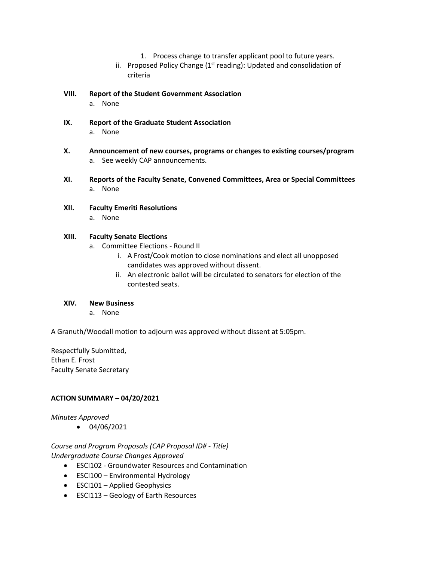- 1. Process change to transfer applicant pool to future years.
- ii. Proposed Policy Change  $(1<sup>st</sup>$  reading): Updated and consolidation of criteria
- **VIII. Report of the Student Government Association** a. None
- **IX. Report of the Graduate Student Association** a. None
- **X. Announcement of new courses, programs or changes to existing courses/program** a. See weekly CAP announcements.
- **XI. Reports of the Faculty Senate, Convened Committees, Area or Special Committees** a. None
- **XII. Faculty Emeriti Resolutions** a. None

## **XIII. Faculty Senate Elections**

- a. Committee Elections Round II
	- i. A Frost/Cook motion to close nominations and elect all unopposed candidates was approved without dissent.
	- ii. An electronic ballot will be circulated to senators for election of the contested seats.

### **XIV. New Business**

a. None

A Granuth/Woodall motion to adjourn was approved without dissent at 5:05pm.

Respectfully Submitted, Ethan E. Frost Faculty Senate Secretary

## **ACTION SUMMARY – 04/20/2021**

## *Minutes Approved*

• 04/06/2021

*Course and Program Proposals (CAP Proposal ID# - Title) Undergraduate Course Changes Approved*

- ESCI102 Groundwater Resources and Contamination
- ESCI100 Environmental Hydrology
- ESCI101 Applied Geophysics
- ESCI113 Geology of Earth Resources